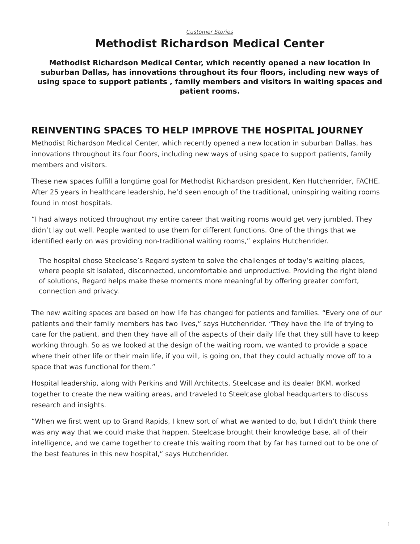## *[Customer Stories](https://www.steelcase.com/asia-en/research/topics/customer-stories/)* **Methodist Richardson Medical Center**

**Methodist Richardson Medical Center, which recently opened a new location in suburban Dallas, has innovations throughout its four floors, including new ways of using space to support patients , family members and visitors in waiting spaces and patient rooms.**

# **REINVENTING SPACES TO HELP IMPROVE THE HOSPITAL JOURNEY**

Methodist Richardson Medical Center, which recently opened a new location in suburban Dallas, has innovations throughout its four floors, including new ways of using space to support patients, family members and visitors.

These new spaces fulfill a longtime goal for Methodist Richardson president, Ken Hutchenrider, FACHE. After 25 years in healthcare leadership, he'd seen enough of the traditional, uninspiring waiting rooms found in most hospitals.

"I had always noticed throughout my entire career that waiting rooms would get very jumbled. They didn't lay out well. People wanted to use them for different functions. One of the things that we identified early on was providing non-traditional waiting rooms," explains Hutchenrider.

The hospital chose Steelcase's Regard system to solve the challenges of today's waiting places, where people sit isolated, disconnected, uncomfortable and unproductive. Providing the right blend of solutions, Regard helps make these moments more meaningful by offering greater comfort, connection and privacy.

The new waiting spaces are based on how life has changed for patients and families. "Every one of our patients and their family members has two lives," says Hutchenrider. "They have the life of trying to care for the patient, and then they have all of the aspects of their daily life that they still have to keep working through. So as we looked at the design of the waiting room, we wanted to provide a space where their other life or their main life, if you will, is going on, that they could actually move off to a space that was functional for them."

Hospital leadership, along with Perkins and Will Architects, Steelcase and its dealer BKM, worked together to create the new waiting areas, and traveled to Steelcase global headquarters to discuss research and insights.

"When we first went up to Grand Rapids, I knew sort of what we wanted to do, but I didn't think there was any way that we could make that happen. Steelcase brought their knowledge base, all of their intelligence, and we came together to create this waiting room that by far has turned out to be one of the best features in this new hospital," says Hutchenrider.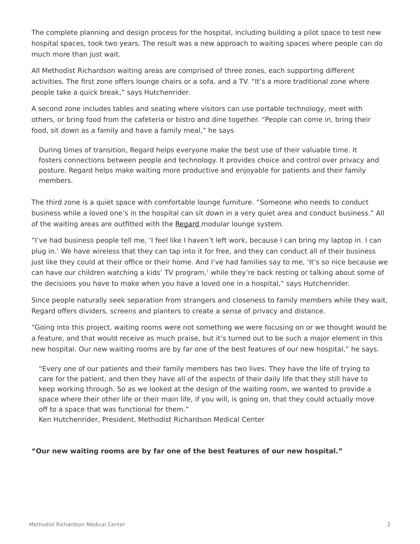The complete planning and design process for the hospital, including building a pilot space to test new hospital spaces, took two years. The result was a new approach to waiting spaces where people can do much more than just wait.

All Methodist Richardson waiting areas are comprised of three zones, each supporting different activities. The first zone offers lounge chairs or a sofa, and a TV. "It's a more traditional zone where people take a quick break," says Hutchenrider.

A second zone includes tables and seating where visitors can use portable technology, meet with others, or bring food from the cafeteria or bistro and dine together. "People can come in, bring their food, sit down as a family and have a family meal," he says

During times of transition, Regard helps everyone make the best use of their valuable time. It fosters connections between people and technology. It provides choice and control over privacy and posture. Regard helps make waiting more productive and enjoyable for patients and their family members.

The third zone is a quiet space with comfortable lounge furniture. "Someone who needs to conduct business while a loved one's in the hospital can sit down in a very quiet area and conduct business." All of the waiting areas are outfitted with the [Regard](https://www.steelcase.com/products/bookcases-cabinets/regard/) modular lounge system.

"I've had business people tell me, 'I feel like I haven't left work, because I can bring my laptop in. I can plug in.' We have wireless that they can tap into it for free, and they can conduct all of their business just like they could at their office or their home. And I've had families say to me, 'It's so nice because we can have our children watching a kids' TV program,' while they're back resting or talking about some of the decisions you have to make when you have a loved one in a hospital," says Hutchenrider.

Since people naturally seek separation from strangers and closeness to family members while they wait, Regard offers dividers, screens and planters to create a sense of privacy and distance.

"Going into this project, waiting rooms were not something we were focusing on or we thought would be a feature, and that would receive as much praise, but it's turned out to be such a major element in this new hospital. Our new waiting rooms are by far one of the best features of our new hospital," he says.

"Every one of our patients and their family members has two lives. They have the life of trying to care for the patient, and then they have all of the aspects of their daily life that they still have to keep working through. So as we looked at the design of the waiting room, we wanted to provide a space where their other life or their main life, if you will, is going on, that they could actually move off to a space that was functional for them."

Ken Hutchenrider, President, Methodist Richardson Medical Center

## **"Our new waiting rooms are by far one of the best features of our new hospital."**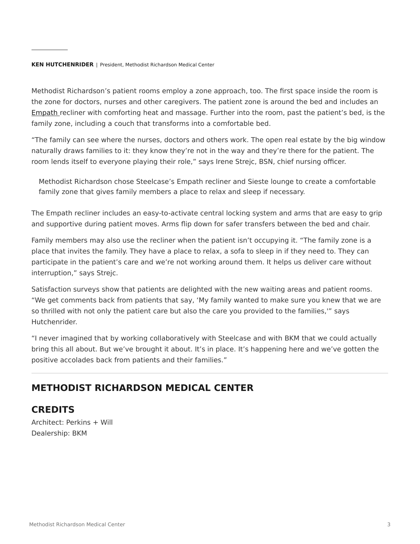#### **KEN HUTCHENRIDER** | President, Methodist Richardson Medical Center

Methodist Richardson's patient rooms employ a zone approach, too. The first space inside the room is the zone for doctors, nurses and other caregivers. The patient zone is around the bed and includes an [Empath](https://www.steelcase.com/products/patient-bariatric-chairs/empath/) recliner with comforting heat and massage. Further into the room, past the patient's bed, is the family zone, including a couch that transforms into a comfortable bed.

"The family can see where the nurses, doctors and others work. The open real estate by the big window naturally draws families to it: they know they're not in the way and they're there for the patient. The room lends itself to everyone playing their role," says Irene Strejc, BSN, chief nursing officer.

Methodist Richardson chose Steelcase's Empath recliner and Sieste lounge to create a comfortable family zone that gives family members a place to relax and sleep if necessary.

The Empath recliner includes an easy-to-activate central locking system and arms that are easy to grip and supportive during patient moves. Arms flip down for safer transfers between the bed and chair.

Family members may also use the recliner when the patient isn't occupying it. "The family zone is a place that invites the family. They have a place to relax, a sofa to sleep in if they need to. They can participate in the patient's care and we're not working around them. It helps us deliver care without interruption," says Strejc.

Satisfaction surveys show that patients are delighted with the new waiting areas and patient rooms. "We get comments back from patients that say, 'My family wanted to make sure you knew that we are so thrilled with not only the patient care but also the care you provided to the families,'" says Hutchenrider.

"I never imagined that by working collaboratively with Steelcase and with BKM that we could actually bring this all about. But we've brought it about. It's in place. It's happening here and we've gotten the positive accolades back from patients and their families."

## **METHODIST RICHARDSON MEDICAL CENTER**

## **CREDITS**

Architect: Perkins + Will Dealership: BKM